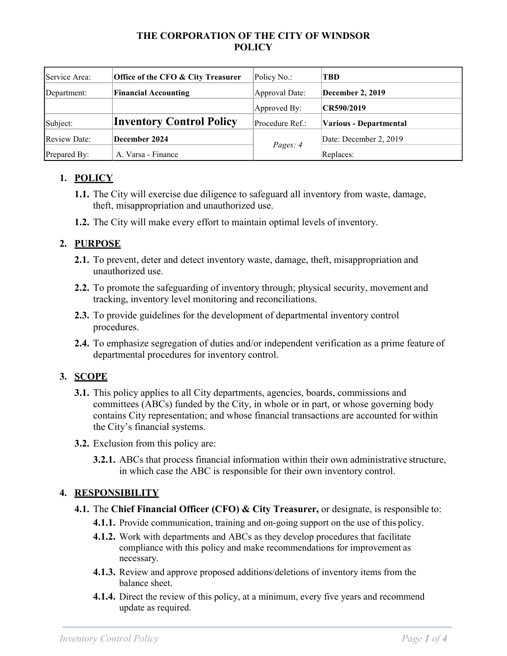#### **THE CORPORATION OF THE CITY OF WINDSOR POLICY**

| Service Area:       | Office of the CFO & City Treasurer | Policy No.:     | TBD                    |
|---------------------|------------------------------------|-----------------|------------------------|
| Department:         | <b>Financial Accounting</b>        | Approval Date:  | December 2, 2019       |
|                     |                                    | Approved By:    | CR590/2019             |
| Subject:            | <b>Inventory Control Policy</b>    | Procedure Ref.: | Various - Departmental |
| <b>Review Date:</b> | December 2024                      | Pages: 4        | Date: December 2, 2019 |
| Prepared By:        | A. Varsa - Finance                 |                 | Replaces:              |

# **1. POLICY**

- **1.1.** The City will exercise due diligence to safeguard all inventory from waste, damage, theft, misappropriation and unauthorized use.
- **1.2.** The City will make every effort to maintain optimal levels of inventory.

## **2. PURPOSE**

- **2.1.** To prevent, deter and detect inventory waste, damage, theft, misappropriation and unauthorized use.
- **2.2.** To promote the safeguarding of inventory through; physical security, movement and tracking, inventory level monitoring and reconciliations.
- **2.3.** To provide guidelines for the development of departmental inventory control procedures.
- **2.4.** To emphasize segregation of duties and/or independent verification as a prime feature of departmental procedures for inventory control.

## **3. SCOPE**

- **3.1.** This policy applies to all City departments, agencies, boards, commissions and committees (ABCs) funded by the City, in whole or in part, or whose governing body contains City representation; and whose financial transactions are accounted for within the City's financial systems.
- **3.2.** Exclusion from this policy are:
	- **3.2.1.** ABCs that process financial information within their own administrative structure, in which case the ABC is responsible for their own inventory control.

# **4. RESPONSIBILITY**

- **4.1.** The **Chief Financial Officer (CFO) & City Treasurer,** or designate, is responsible to:
	- **4.1.1.** Provide communication, training and on-going support on the use of this policy.
	- **4.1.2.** Work with departments and ABCs as they develop procedures that facilitate compliance with this policy and make recommendations for improvement as necessary.
	- **4.1.3.** Review and approve proposed additions/deletions of inventory items from the balance sheet.
	- **4.1.4.** Direct the review of this policy, at a minimum, every five years and recommend update as required.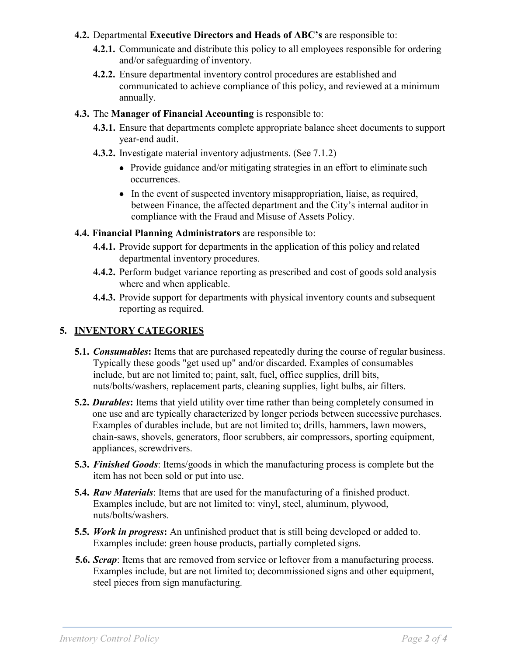#### **4.2.** Departmental **Executive Directors and Heads of ABC's** are responsible to:

- **4.2.1.** Communicate and distribute this policy to all employees responsible for ordering and/or safeguarding of inventory.
- **4.2.2.** Ensure departmental inventory control procedures are established and communicated to achieve compliance of this policy, and reviewed at a minimum annually.
- **4.3.** The **Manager of Financial Accounting** is responsible to:
	- **4.3.1.** Ensure that departments complete appropriate balance sheet documents to support year-end audit.
	- **4.3.2.** Investigate material inventory adjustments. (See 7.1.2)
		- Provide guidance and/or mitigating strategies in an effort to eliminate such occurrences.
		- In the event of suspected inventory misappropriation, liaise, as required, between Finance, the affected department and the City's internal auditor in compliance with the Fraud and Misuse of Assets Policy.
- **4.4. Financial Planning Administrators** are responsible to:
	- **4.4.1.** Provide support for departments in the application of this policy and related departmental inventory procedures.
	- **4.4.2.** Perform budget variance reporting as prescribed and cost of goods sold analysis where and when applicable.
	- **4.4.3.** Provide support for departments with physical inventory counts and subsequent reporting as required.

# **5. INVENTORY CATEGORIES**

- **5.1.** *Consumables*: Items that are purchased repeatedly during the course of regular business. Typically these goods "get used up" and/or discarded. Examples of consumables include, but are not limited to; paint, salt, fuel, office supplies, drill bits, nuts/bolts/washers, replacement parts, cleaning supplies, light bulbs, air filters.
- **5.2.** *Durables***:** Items that yield utility over time rather than being completely consumed in one use and are typically characterized by longer periods between successive purchases. Examples of durables include, but are not limited to; drills, hammers, lawn mowers, chain-saws, shovels, generators, floor scrubbers, air compressors, sporting equipment, appliances, screwdrivers.
- **5.3.** *Finished Goods*: Items/goods in which the manufacturing process is complete but the item has not been sold or put into use.
- **5.4.** *Raw Materials*: Items that are used for the manufacturing of a finished product. Examples include, but are not limited to: vinyl, steel, aluminum, plywood, nuts/bolts/washers.
- **5.5.** *Work in progress***:** An unfinished product that is still being developed or added to. Examples include: green house products, partially completed signs.
- **5.6.** *Scrap*: Items that are removed from service or leftover from a manufacturing process. Examples include, but are not limited to; decommissioned signs and other equipment, steel pieces from sign manufacturing.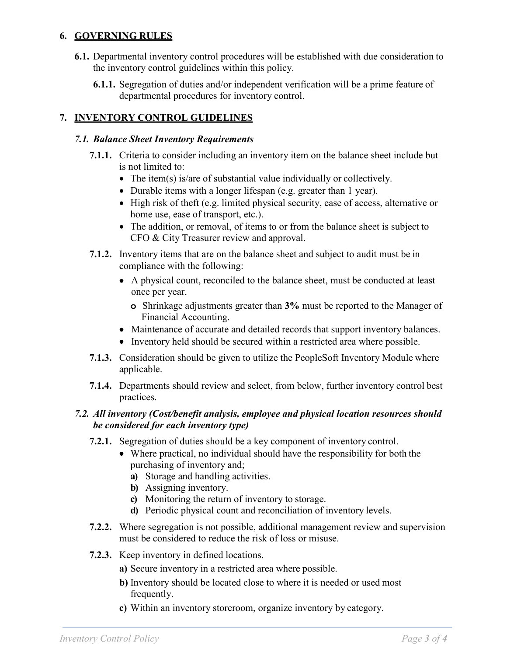## **6. GOVERNING RULES**

- **6.1.** Departmental inventory control procedures will be established with due consideration to the inventory control guidelines within this policy.
	- **6.1.1.** Segregation of duties and/or independent verification will be a prime feature of departmental procedures for inventory control.

## **7. INVENTORY CONTROL GUIDELINES**

#### *7.1. Balance Sheet Inventory Requirements*

- **7.1.1.** Criteria to consider including an inventory item on the balance sheet include but is not limited to:
	- The item(s) is/are of substantial value individually or collectively.
	- Durable items with a longer lifespan (e.g. greater than 1 year).
	- High risk of theft (e.g. limited physical security, ease of access, alternative or home use, ease of transport, etc.).
	- The addition, or removal, of items to or from the balance sheet is subject to CFO & City Treasurer review and approval.
- **7.1.2.** Inventory items that are on the balance sheet and subject to audit must be in compliance with the following:
	- A physical count, reconciled to the balance sheet, must be conducted at least once per year.
		- **o** Shrinkage adjustments greater than **3%** must be reported to the Manager of Financial Accounting.
	- Maintenance of accurate and detailed records that support inventory balances.
	- Inventory held should be secured within a restricted area where possible.
- **7.1.3.** Consideration should be given to utilize the PeopleSoft Inventory Module where applicable.
- **7.1.4.** Departments should review and select, from below, further inventory control best practices.

#### *7.2. All inventory (Cost/benefit analysis, employee and physical location resources should be considered for each inventory type)*

- **7.2.1.** Segregation of duties should be a key component of inventory control.
	- Where practical, no individual should have the responsibility for both the purchasing of inventory and;
		- **a)** Storage and handling activities.
		- **b)** Assigning inventory.
		- **c)** Monitoring the return of inventory to storage.
		- **d)** Periodic physical count and reconciliation of inventory levels.
- **7.2.2.** Where segregation is not possible, additional management review and supervision must be considered to reduce the risk of loss or misuse.
- **7.2.3.** Keep inventory in defined locations.
	- **a)** Secure inventory in a restricted area where possible.
	- **b)** Inventory should be located close to where it is needed or used most frequently.
	- **c)** Within an inventory storeroom, organize inventory by category.